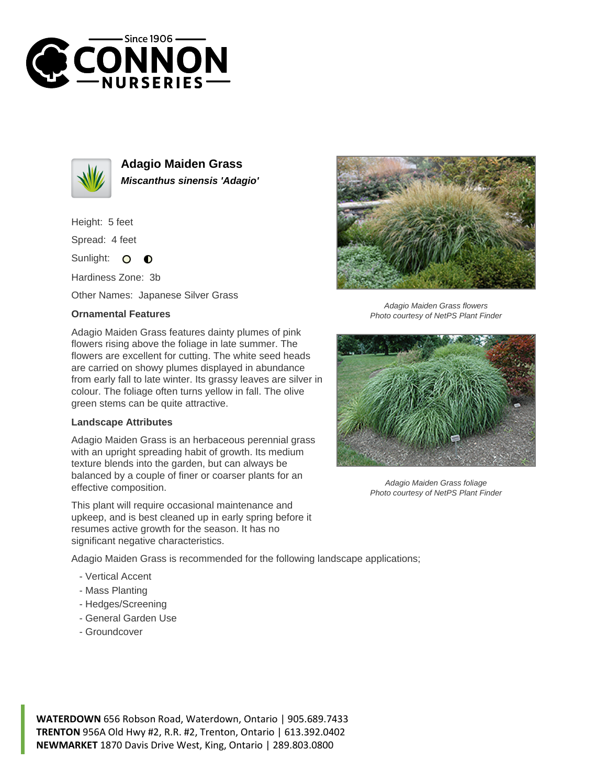



**Adagio Maiden Grass Miscanthus sinensis 'Adagio'**

Height: 5 feet

Spread: 4 feet

Sunlight:  $\bullet$  $\bullet$ 

Hardiness Zone: 3b

Other Names: Japanese Silver Grass

## **Ornamental Features**

Adagio Maiden Grass features dainty plumes of pink flowers rising above the foliage in late summer. The flowers are excellent for cutting. The white seed heads are carried on showy plumes displayed in abundance from early fall to late winter. Its grassy leaves are silver in colour. The foliage often turns yellow in fall. The olive green stems can be quite attractive.

## **Landscape Attributes**

Adagio Maiden Grass is an herbaceous perennial grass with an upright spreading habit of growth. Its medium texture blends into the garden, but can always be balanced by a couple of finer or coarser plants for an effective composition.

This plant will require occasional maintenance and upkeep, and is best cleaned up in early spring before it resumes active growth for the season. It has no significant negative characteristics.



Adagio Maiden Grass flowers Photo courtesy of NetPS Plant Finder



Adagio Maiden Grass foliage Photo courtesy of NetPS Plant Finder

Adagio Maiden Grass is recommended for the following landscape applications;

- Vertical Accent
- Mass Planting
- Hedges/Screening
- General Garden Use
- Groundcover

**WATERDOWN** 656 Robson Road, Waterdown, Ontario | 905.689.7433 **TRENTON** 956A Old Hwy #2, R.R. #2, Trenton, Ontario | 613.392.0402 **NEWMARKET** 1870 Davis Drive West, King, Ontario | 289.803.0800